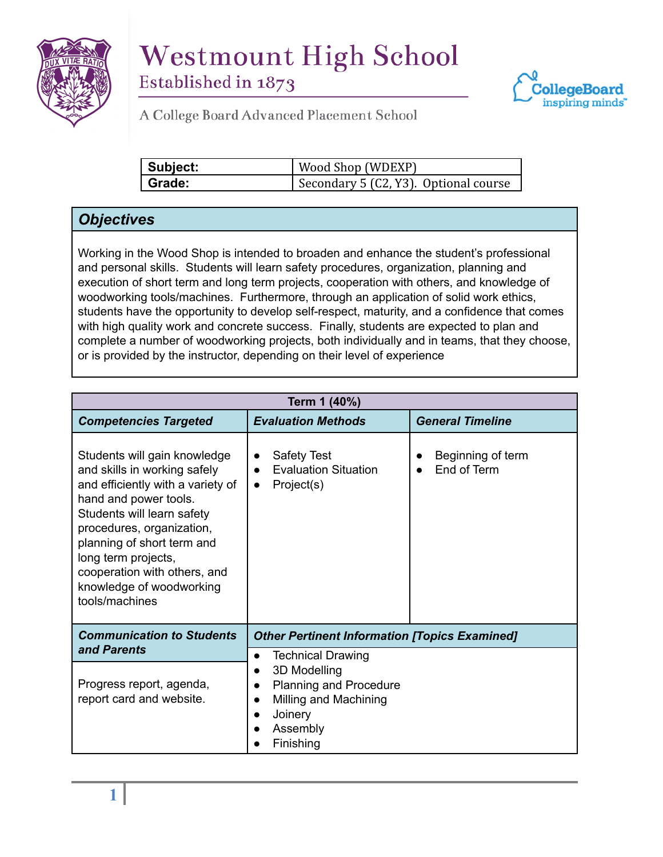

## **Westmount High School**





**STANDARDS & PROCEDURES**

| Subject: | Wood Shop (WDEXP)                     |  |
|----------|---------------------------------------|--|
| l Grade: | Secondary 5 (C2, Y3). Optional course |  |

## *Objectives*

Working in the Wood Shop is intended to broaden and enhance the student's professional and personal skills. Students will learn safety procedures, organization, planning and execution of short term and long term projects, cooperation with others, and knowledge of woodworking tools/machines. Furthermore, through an application of solid work ethics, students have the opportunity to develop self-respect, maturity, and a confidence that comes with high quality work and concrete success. Finally, students are expected to plan and complete a number of woodworking projects, both individually and in teams, that they choose, or is provided by the instructor, depending on their level of experience

| Term 1 (40%)                                                                                                                                                                                                                                                                                                             |                                                                                                                                                                  |                                  |  |
|--------------------------------------------------------------------------------------------------------------------------------------------------------------------------------------------------------------------------------------------------------------------------------------------------------------------------|------------------------------------------------------------------------------------------------------------------------------------------------------------------|----------------------------------|--|
| <b>Competencies Targeted</b>                                                                                                                                                                                                                                                                                             | <b>Evaluation Methods</b>                                                                                                                                        | <b>General Timeline</b>          |  |
| Students will gain knowledge<br>and skills in working safely<br>and efficiently with a variety of<br>hand and power tools.<br>Students will learn safety<br>procedures, organization,<br>planning of short term and<br>long term projects,<br>cooperation with others, and<br>knowledge of woodworking<br>tools/machines | <b>Safety Test</b><br>$\bullet$<br><b>Evaluation Situation</b><br>$\bullet$<br>Project(s)<br>$\bullet$                                                           | Beginning of term<br>End of Term |  |
| <b>Communication to Students</b><br>and Parents                                                                                                                                                                                                                                                                          | <b>Other Pertinent Information [Topics Examined]</b>                                                                                                             |                                  |  |
| Progress report, agenda,<br>report card and website.                                                                                                                                                                                                                                                                     | <b>Technical Drawing</b><br>$\bullet$<br>3D Modelling<br><b>Planning and Procedure</b><br>$\bullet$<br>Milling and Machining<br>Joinery<br>Assembly<br>Finishing |                                  |  |